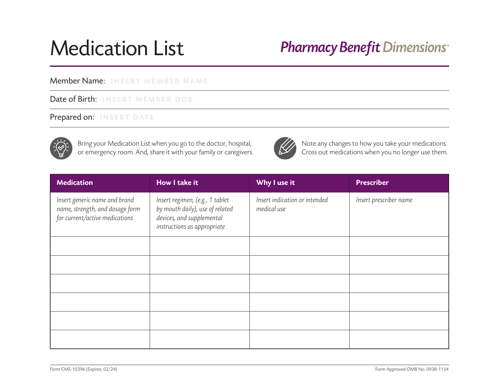# Medication List

# **Pharmacy Benefit Dimensions®**

#### Member Name: INSERT MEMBER NAME

#### Date of Birth: INSERT MEMBER DOB

### Prepared on: INSERT DATE



Bring your Medication List when you go to the doctor, hospital,<br>
or emergency room. And, share it with your family or caregivers.<br>
Cross out medications when you no longer use them. or emergency room. And, share it with your family or caregivers.



| <b>Medication</b>                                                                                  | How I take it                                                                                                                  | Why I use it                                 | <b>Prescriber</b>      |
|----------------------------------------------------------------------------------------------------|--------------------------------------------------------------------------------------------------------------------------------|----------------------------------------------|------------------------|
| Insert generic name and brand<br>name, strength, and dosage form<br>for current/active medications | Insert regimen, (e.g., 1 tablet<br>by mouth daily), use of related<br>devices, and supplemental<br>instructions as appropriate | Insert indication or intended<br>medical use | Insert prescriber name |
|                                                                                                    |                                                                                                                                |                                              |                        |
|                                                                                                    |                                                                                                                                |                                              |                        |
|                                                                                                    |                                                                                                                                |                                              |                        |
|                                                                                                    |                                                                                                                                |                                              |                        |
|                                                                                                    |                                                                                                                                |                                              |                        |
|                                                                                                    |                                                                                                                                |                                              |                        |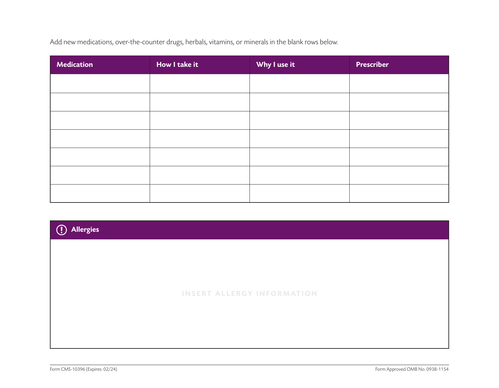Add new medications, over-the-counter drugs, herbals, vitamins, or minerals in the blank rows below.

| <b>Medication</b> | How I take it | Why I use it | <b>Prescriber</b> |
|-------------------|---------------|--------------|-------------------|
|                   |               |              |                   |
|                   |               |              |                   |
|                   |               |              |                   |
|                   |               |              |                   |
|                   |               |              |                   |
|                   |               |              |                   |
|                   |               |              |                   |

INSERT ALLERGY INFORMATION

Allergies